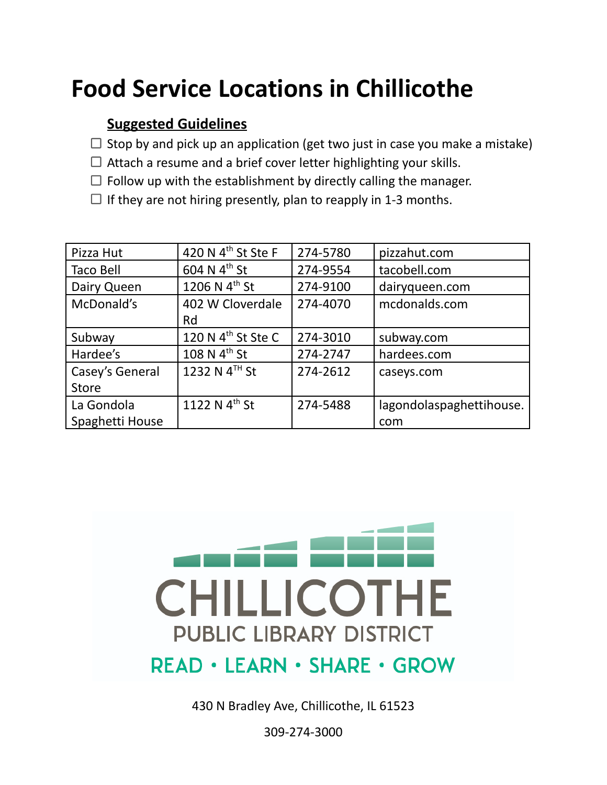## **Food Service Locations in Chillicothe**

## **Suggested Guidelines**

- $\Box$  Stop by and pick up an application (get two just in case you make a mistake)
- $\Box$  Attach a resume and a brief cover letter highlighting your skills.
- $\Box$  Follow up with the establishment by directly calling the manager.
- $\Box$  If they are not hiring presently, plan to reapply in 1-3 months.

| Pizza Hut       | 420 N 4 <sup>th</sup> St Ste F | 274-5780 | pizzahut.com             |
|-----------------|--------------------------------|----------|--------------------------|
| Taco Bell       | 604 N 4 <sup>th</sup> St       | 274-9554 | tacobell.com             |
| Dairy Queen     | 1206 N $4^{th}$ St             | 274-9100 | dairyqueen.com           |
| McDonald's      | 402 W Cloverdale               | 274-4070 | mcdonalds.com            |
|                 | Rd                             |          |                          |
| Subway          | 120 N 4 <sup>th</sup> St Ste C | 274-3010 | subway.com               |
| Hardee's        | 108 N $4^{th}$ St              | 274-2747 | hardees.com              |
| Casey's General | 1232 N $4^{TH}$ St             | 274-2612 | caseys.com               |
| <b>Store</b>    |                                |          |                          |
| La Gondola      | 1122 N 4 <sup>th</sup> St      | 274-5488 | lagondolaspaghettihouse. |
| Spaghetti House |                                |          | com                      |



430 N Bradley Ave, Chillicothe, IL 61523

309-274-3000